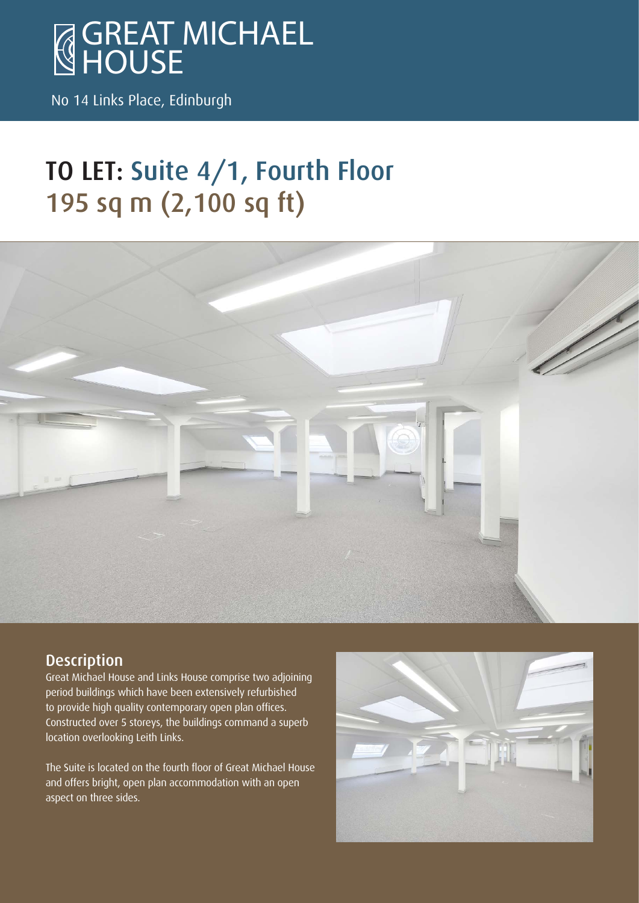

No 14 Links Place, Edinburgh

# TO LET: Suite 4/1, Fourth Floor 195 sq m (2,100 sq ft)



#### **Description**

Great Michael House and Links House comprise two adjoining period buildings which have been extensively refurbished to provide high quality contemporary open plan offices. Constructed over 5 storeys, the buildings command a superb location overlooking Leith Links.

The Suite is located on the fourth floor of Great Michael House and offers bright, open plan accommodation with an open aspect on three sides.